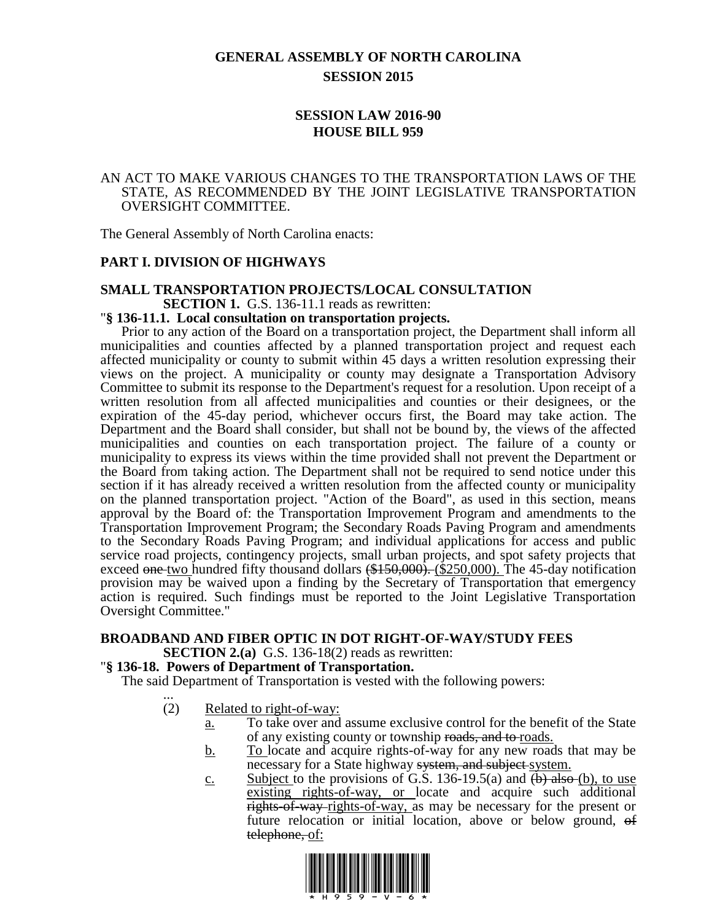# **GENERAL ASSEMBLY OF NORTH CAROLINA SESSION 2015**

# **SESSION LAW 2016-90 HOUSE BILL 959**

#### AN ACT TO MAKE VARIOUS CHANGES TO THE TRANSPORTATION LAWS OF THE STATE, AS RECOMMENDED BY THE JOINT LEGISLATIVE TRANSPORTATION OVERSIGHT COMMITTEE.

The General Assembly of North Carolina enacts:

## **PART I. DIVISION OF HIGHWAYS**

# **SMALL TRANSPORTATION PROJECTS/LOCAL CONSULTATION SECTION 1.** G.S. 136-11.1 reads as rewritten:

#### "**§ 136-11.1. Local consultation on transportation projects.**

Prior to any action of the Board on a transportation project, the Department shall inform all municipalities and counties affected by a planned transportation project and request each affected municipality or county to submit within 45 days a written resolution expressing their views on the project. A municipality or county may designate a Transportation Advisory Committee to submit its response to the Department's request for a resolution. Upon receipt of a written resolution from all affected municipalities and counties or their designees, or the expiration of the 45-day period, whichever occurs first, the Board may take action. The Department and the Board shall consider, but shall not be bound by, the views of the affected municipalities and counties on each transportation project. The failure of a county or municipality to express its views within the time provided shall not prevent the Department or the Board from taking action. The Department shall not be required to send notice under this section if it has already received a written resolution from the affected county or municipality on the planned transportation project. "Action of the Board", as used in this section, means approval by the Board of: the Transportation Improvement Program and amendments to the Transportation Improvement Program; the Secondary Roads Paving Program and amendments to the Secondary Roads Paving Program; and individual applications for access and public service road projects, contingency projects, small urban projects, and spot safety projects that exceed one two hundred fifty thousand dollars  $(\$150,000)$ . ( $\$250,000$ ). The 45-day notification provision may be waived upon a finding by the Secretary of Transportation that emergency action is required. Such findings must be reported to the Joint Legislative Transportation Oversight Committee."

#### **BROADBAND AND FIBER OPTIC IN DOT RIGHT-OF-WAY/STUDY FEES SECTION 2.(a)** G.S. 136-18(2) reads as rewritten:

#### "**§ 136-18. Powers of Department of Transportation.**

The said Department of Transportation is vested with the following powers: ...

- (2) Related to right-of-way:
	- a. To take over and assume exclusive control for the benefit of the State of any existing county or township roads, and to roads.
	- b. To locate and acquire rights-of-way for any new roads that may be necessary for a State highway system, and subject system.
	- c. Subject to the provisions of G.S. 136-19.5(a) and  $(\frac{b}{b})$  also  $(\frac{b}{c})$ , to use existing rights-of-way, or locate and acquire such additional rights-of-way-rights-of-way, as may be necessary for the present or future relocation or initial location, above or below ground, of telephone, of:

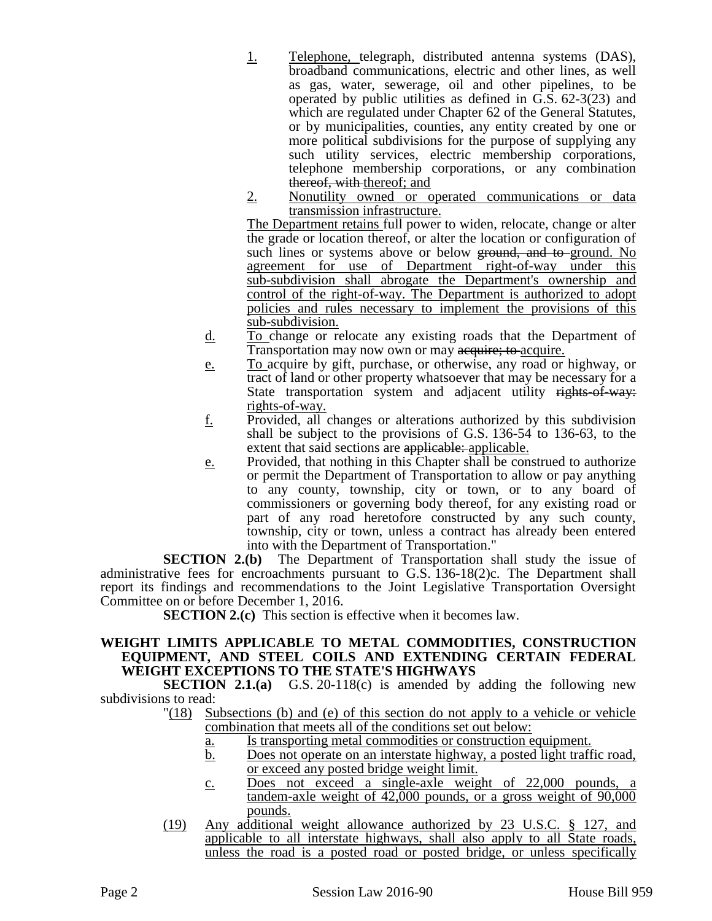- 1. Telephone, telegraph, distributed antenna systems (DAS), broadband communications, electric and other lines, as well as gas, water, sewerage, oil and other pipelines, to be operated by public utilities as defined in G.S. 62-3(23) and which are regulated under Chapter 62 of the General Statutes, or by municipalities, counties, any entity created by one or more political subdivisions for the purpose of supplying any such utility services, electric membership corporations, telephone membership corporations, or any combination thereof, with thereof; and
- 2. Nonutility owned or operated communications or data transmission infrastructure.

The Department retains full power to widen, relocate, change or alter the grade or location thereof, or alter the location or configuration of such lines or systems above or below ground, and to-ground. No agreement for use of Department right-of-way under this sub-subdivision shall abrogate the Department's ownership and control of the right-of-way. The Department is authorized to adopt policies and rules necessary to implement the provisions of this sub-subdivision.

- d. To change or relocate any existing roads that the Department of Transportation may now own or may acquire; to acquire.
- e. To acquire by gift, purchase, or otherwise, any road or highway, or tract of land or other property whatsoever that may be necessary for a State transportation system and adjacent utility rights-of-way: rights-of-way.
- $\underline{f}$ . Provided, all changes or alterations authorized by this subdivision shall be subject to the provisions of G.S. 136-54 to 136-63, to the extent that said sections are applicable: applicable.
- e. Provided, that nothing in this Chapter shall be construed to authorize or permit the Department of Transportation to allow or pay anything to any county, township, city or town, or to any board of commissioners or governing body thereof, for any existing road or part of any road heretofore constructed by any such county, township, city or town, unless a contract has already been entered into with the Department of Transportation."

**SECTION 2.(b)** The Department of Transportation shall study the issue of administrative fees for encroachments pursuant to G.S. 136-18(2)c. The Department shall report its findings and recommendations to the Joint Legislative Transportation Oversight Committee on or before December 1, 2016.

**SECTION 2.(c)** This section is effective when it becomes law.

## **WEIGHT LIMITS APPLICABLE TO METAL COMMODITIES, CONSTRUCTION EQUIPMENT, AND STEEL COILS AND EXTENDING CERTAIN FEDERAL WEIGHT EXCEPTIONS TO THE STATE'S HIGHWAYS**

**SECTION 2.1.(a)** G.S. 20-118(c) is amended by adding the following new subdivisions to read:

- "(18) Subsections (b) and (e) of this section do not apply to a vehicle or vehicle combination that meets all of the conditions set out below:
	- a. Is transporting metal commodities or construction equipment.
	- b. Does not operate on an interstate highway, a posted light traffic road, or exceed any posted bridge weight limit.
	- c. Does not exceed a single-axle weight of 22,000 pounds, a tandem-axle weight of 42,000 pounds, or a gross weight of 90,000 pounds.
- (19) Any additional weight allowance authorized by 23 U.S.C. § 127, and applicable to all interstate highways, shall also apply to all State roads, unless the road is a posted road or posted bridge, or unless specifically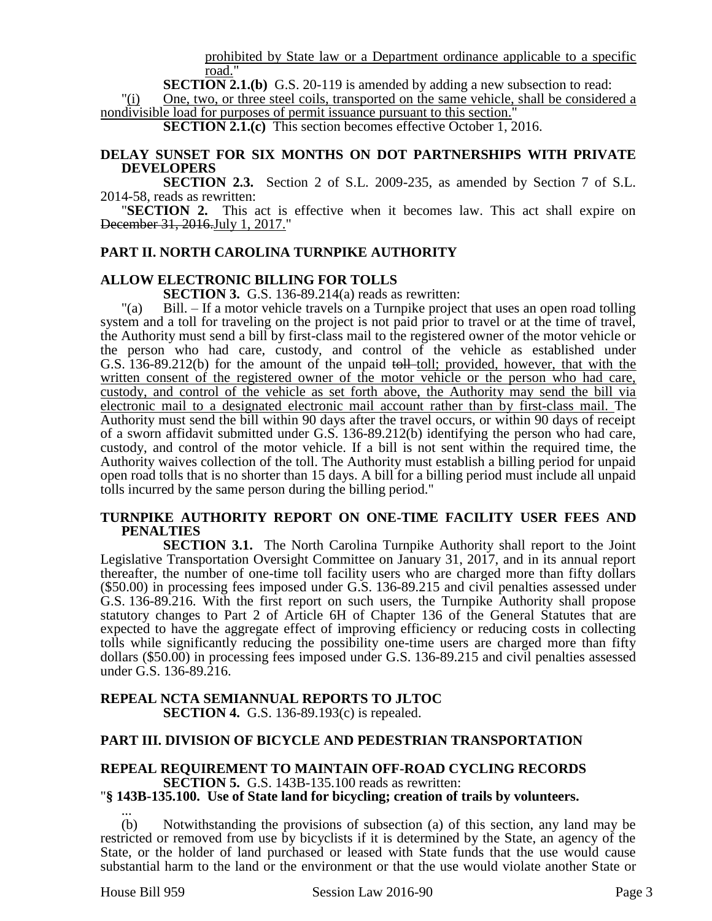prohibited by State law or a Department ordinance applicable to a specific road."

**SECTION 2.1.(b)** G.S. 20-119 is amended by adding a new subsection to read:

"(i) One, two, or three steel coils, transported on the same vehicle, shall be considered a nondivisible load for purposes of permit issuance pursuant to this section."

**SECTION 2.1.(c)** This section becomes effective October 1, 2016.

## **DELAY SUNSET FOR SIX MONTHS ON DOT PARTNERSHIPS WITH PRIVATE DEVELOPERS**

**SECTION 2.3.** Section 2 of S.L. 2009-235, as amended by Section 7 of S.L. 2014-58, reads as rewritten:

"**SECTION 2.** This act is effective when it becomes law. This act shall expire on December 31, 2016.July 1, 2017."

## **PART II. NORTH CAROLINA TURNPIKE AUTHORITY**

#### **ALLOW ELECTRONIC BILLING FOR TOLLS**

**SECTION 3.** G.S. 136-89.214(a) reads as rewritten:

"(a) Bill. – If a motor vehicle travels on a Turnpike project that uses an open road tolling system and a toll for traveling on the project is not paid prior to travel or at the time of travel, the Authority must send a bill by first-class mail to the registered owner of the motor vehicle or the person who had care, custody, and control of the vehicle as established under G.S. 136-89.212(b) for the amount of the unpaid toll toll; provided, however, that with the written consent of the registered owner of the motor vehicle or the person who had care, custody, and control of the vehicle as set forth above, the Authority may send the bill via electronic mail to a designated electronic mail account rather than by first-class mail. The Authority must send the bill within 90 days after the travel occurs, or within 90 days of receipt of a sworn affidavit submitted under G.S. 136-89.212(b) identifying the person who had care, custody, and control of the motor vehicle. If a bill is not sent within the required time, the Authority waives collection of the toll. The Authority must establish a billing period for unpaid open road tolls that is no shorter than 15 days. A bill for a billing period must include all unpaid tolls incurred by the same person during the billing period."

#### **TURNPIKE AUTHORITY REPORT ON ONE-TIME FACILITY USER FEES AND PENALTIES**

**SECTION 3.1.** The North Carolina Turnpike Authority shall report to the Joint Legislative Transportation Oversight Committee on January 31, 2017, and in its annual report thereafter, the number of one-time toll facility users who are charged more than fifty dollars (\$50.00) in processing fees imposed under G.S. 136-89.215 and civil penalties assessed under G.S. 136-89.216. With the first report on such users, the Turnpike Authority shall propose statutory changes to Part 2 of Article 6H of Chapter 136 of the General Statutes that are expected to have the aggregate effect of improving efficiency or reducing costs in collecting tolls while significantly reducing the possibility one-time users are charged more than fifty dollars (\$50.00) in processing fees imposed under G.S. 136-89.215 and civil penalties assessed under G.S. 136-89.216.

## **REPEAL NCTA SEMIANNUAL REPORTS TO JLTOC SECTION 4.** G.S. 136-89.193(c) is repealed.

#### **PART III. DIVISION OF BICYCLE AND PEDESTRIAN TRANSPORTATION**

# **REPEAL REQUIREMENT TO MAINTAIN OFF-ROAD CYCLING RECORDS SECTION 5.** G.S. 143B-135.100 reads as rewritten:

"**§ 143B-135.100. Use of State land for bicycling; creation of trails by volunteers.** ...

(b) Notwithstanding the provisions of subsection (a) of this section, any land may be restricted or removed from use by bicyclists if it is determined by the State, an agency of the State, or the holder of land purchased or leased with State funds that the use would cause substantial harm to the land or the environment or that the use would violate another State or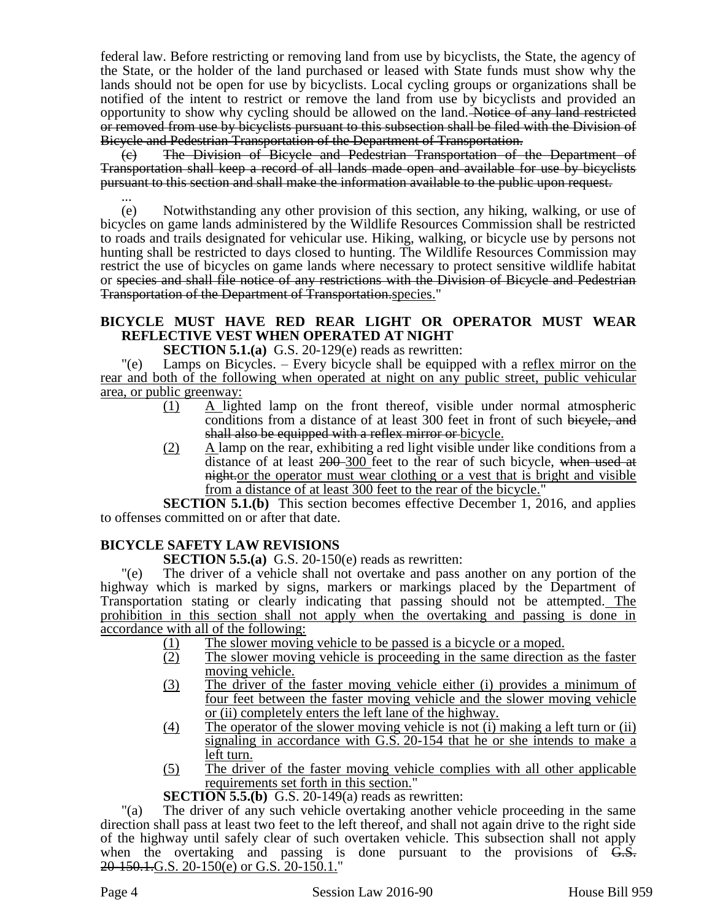federal law. Before restricting or removing land from use by bicyclists, the State, the agency of the State, or the holder of the land purchased or leased with State funds must show why the lands should not be open for use by bicyclists. Local cycling groups or organizations shall be notified of the intent to restrict or remove the land from use by bicyclists and provided an opportunity to show why cycling should be allowed on the land. Notice of any land restricted or removed from use by bicyclists pursuant to this subsection shall be filed with the Division of Bicycle and Pedestrian Transportation of the Department of Transportation.

(c) The Division of Bicycle and Pedestrian Transportation of the Department of Transportation shall keep a record of all lands made open and available for use by bicyclists pursuant to this section and shall make the information available to the public upon request.

... (e) Notwithstanding any other provision of this section, any hiking, walking, or use of bicycles on game lands administered by the Wildlife Resources Commission shall be restricted to roads and trails designated for vehicular use. Hiking, walking, or bicycle use by persons not hunting shall be restricted to days closed to hunting. The Wildlife Resources Commission may restrict the use of bicycles on game lands where necessary to protect sensitive wildlife habitat or species and shall file notice of any restrictions with the Division of Bicycle and Pedestrian Transportation of the Department of Transportation.species."

# **BICYCLE MUST HAVE RED REAR LIGHT OR OPERATOR MUST WEAR REFLECTIVE VEST WHEN OPERATED AT NIGHT**

**SECTION 5.1.(a)** G.S. 20-129(e) reads as rewritten:

"(e) Lamps on Bicycles. – Every bicycle shall be equipped with a reflex mirror on the rear and both of the following when operated at night on any public street, public vehicular area, or public greenway:

- (1) A lighted lamp on the front thereof, visible under normal atmospheric conditions from a distance of at least 300 feet in front of such bicycle, and shall also be equipped with a reflex mirror or bicycle.
- (2) A lamp on the rear, exhibiting a red light visible under like conditions from a distance of at least 200-300 feet to the rear of such bicycle, when used at night.or the operator must wear clothing or a vest that is bright and visible from a distance of at least 300 feet to the rear of the bicycle."

**SECTION 5.1.(b)** This section becomes effective December 1, 2016, and applies to offenses committed on or after that date.

# **BICYCLE SAFETY LAW REVISIONS**

**SECTION 5.5.(a)** G.S. 20-150(e) reads as rewritten:

"(e) The driver of a vehicle shall not overtake and pass another on any portion of the highway which is marked by signs, markers or markings placed by the Department of Transportation stating or clearly indicating that passing should not be attempted. The prohibition in this section shall not apply when the overtaking and passing is done in accordance with all of the following:

- (1) The slower moving vehicle to be passed is a bicycle or a moped.
- (2) The slower moving vehicle is proceeding in the same direction as the faster moving vehicle.
- (3) The driver of the faster moving vehicle either (i) provides a minimum of four feet between the faster moving vehicle and the slower moving vehicle or (ii) completely enters the left lane of the highway.
- (4) The operator of the slower moving vehicle is not (i) making a left turn or (ii) signaling in accordance with G.S. 20-154 that he or she intends to make a left turn.
- (5) The driver of the faster moving vehicle complies with all other applicable requirements set forth in this section."

## **SECTION 5.5.(b)** G.S. 20-149(a) reads as rewritten:

"(a) The driver of any such vehicle overtaking another vehicle proceeding in the same direction shall pass at least two feet to the left thereof, and shall not again drive to the right side of the highway until safely clear of such overtaken vehicle. This subsection shall not apply when the overtaking and passing is done pursuant to the provisions of  $\overline{G.S.}$ 20-150.1.G.S. 20-150(e) or G.S. 20-150.1."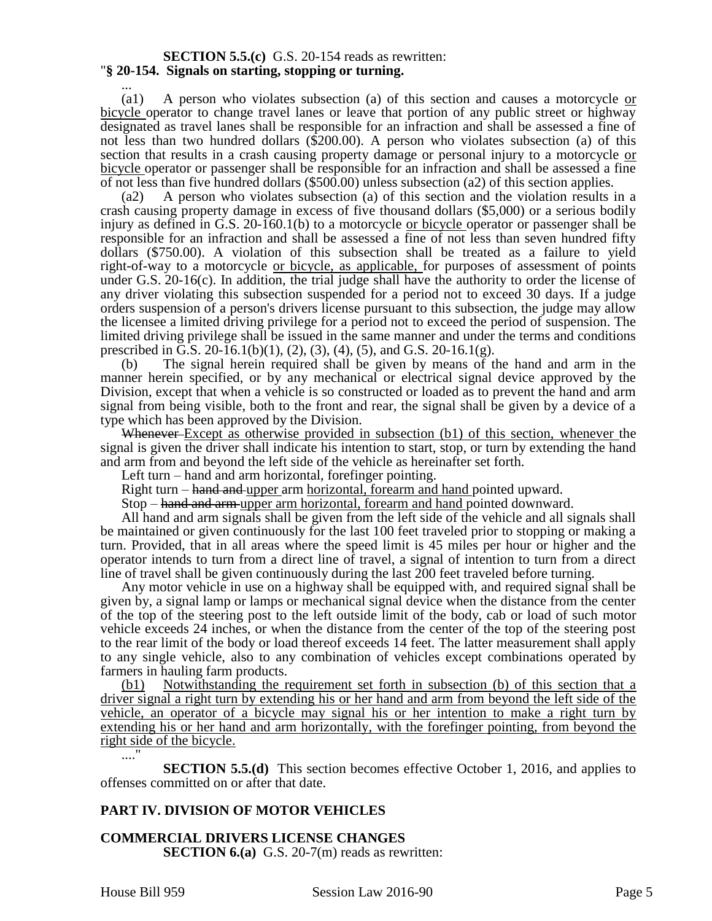#### **SECTION 5.5.(c)** G.S. 20-154 reads as rewritten: "**§ 20-154. Signals on starting, stopping or turning.**

... (a1) A person who violates subsection (a) of this section and causes a motorcycle or bicycle operator to change travel lanes or leave that portion of any public street or highway designated as travel lanes shall be responsible for an infraction and shall be assessed a fine of not less than two hundred dollars (\$200.00). A person who violates subsection (a) of this section that results in a crash causing property damage or personal injury to a motorcycle or bicycle operator or passenger shall be responsible for an infraction and shall be assessed a fine of not less than five hundred dollars (\$500.00) unless subsection (a2) of this section applies.

(a2) A person who violates subsection (a) of this section and the violation results in a crash causing property damage in excess of five thousand dollars (\$5,000) or a serious bodily injury as defined in G.S. 20-160.1(b) to a motorcycle or bicycle operator or passenger shall be responsible for an infraction and shall be assessed a fine of not less than seven hundred fifty dollars (\$750.00). A violation of this subsection shall be treated as a failure to yield right-of-way to a motorcycle or bicycle, as applicable, for purposes of assessment of points under G.S. 20-16(c). In addition, the trial judge shall have the authority to order the license of any driver violating this subsection suspended for a period not to exceed 30 days. If a judge orders suspension of a person's drivers license pursuant to this subsection, the judge may allow the licensee a limited driving privilege for a period not to exceed the period of suspension. The limited driving privilege shall be issued in the same manner and under the terms and conditions prescribed in G.S. 20-16.1(b)(1), (2), (3), (4), (5), and G.S. 20-16.1(g).

(b) The signal herein required shall be given by means of the hand and arm in the manner herein specified, or by any mechanical or electrical signal device approved by the Division, except that when a vehicle is so constructed or loaded as to prevent the hand and arm signal from being visible, both to the front and rear, the signal shall be given by a device of a type which has been approved by the Division.

Whenever-Except as otherwise provided in subsection (b1) of this section, whenever the signal is given the driver shall indicate his intention to start, stop, or turn by extending the hand and arm from and beyond the left side of the vehicle as hereinafter set forth.

Left turn – hand and arm horizontal, forefinger pointing.

Right turn – hand and upper arm horizontal, forearm and hand pointed upward.

Stop – hand and arm upper arm horizontal, forearm and hand pointed downward.

All hand and arm signals shall be given from the left side of the vehicle and all signals shall be maintained or given continuously for the last 100 feet traveled prior to stopping or making a turn. Provided, that in all areas where the speed limit is 45 miles per hour or higher and the operator intends to turn from a direct line of travel, a signal of intention to turn from a direct line of travel shall be given continuously during the last 200 feet traveled before turning.

Any motor vehicle in use on a highway shall be equipped with, and required signal shall be given by, a signal lamp or lamps or mechanical signal device when the distance from the center of the top of the steering post to the left outside limit of the body, cab or load of such motor vehicle exceeds 24 inches, or when the distance from the center of the top of the steering post to the rear limit of the body or load thereof exceeds 14 feet. The latter measurement shall apply to any single vehicle, also to any combination of vehicles except combinations operated by farmers in hauling farm products.

(b1) Notwithstanding the requirement set forth in subsection (b) of this section that a driver signal a right turn by extending his or her hand and arm from beyond the left side of the vehicle, an operator of a bicycle may signal his or her intention to make a right turn by extending his or her hand and arm horizontally, with the forefinger pointing, from beyond the right side of the bicycle.

...." **SECTION 5.5.(d)** This section becomes effective October 1, 2016, and applies to offenses committed on or after that date.

## **PART IV. DIVISION OF MOTOR VEHICLES**

## **COMMERCIAL DRIVERS LICENSE CHANGES**

**SECTION 6.(a)** G.S. 20-7(m) reads as rewritten: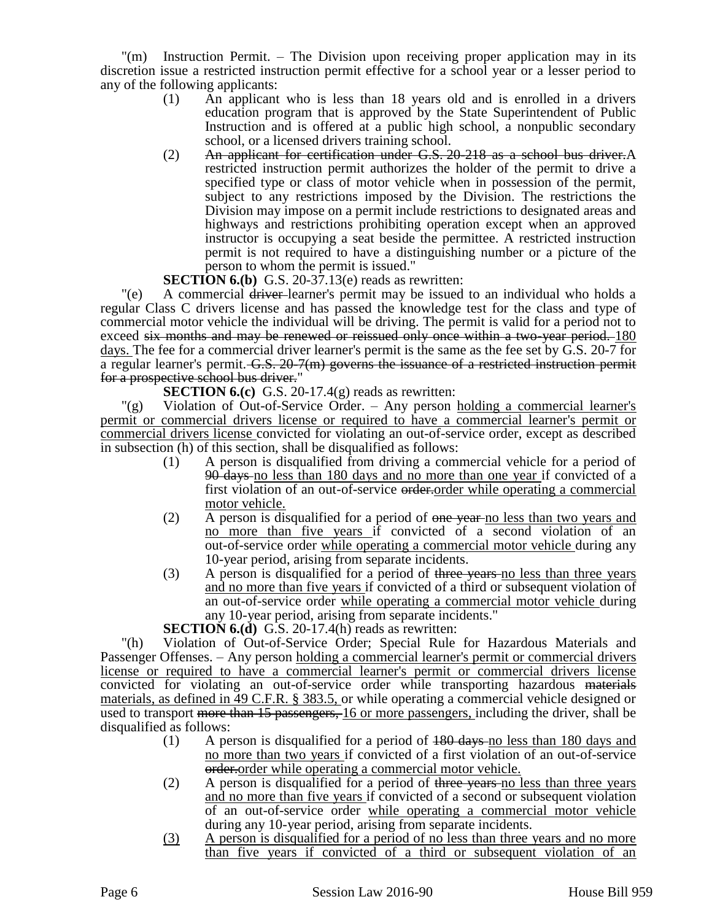"(m) Instruction Permit. – The Division upon receiving proper application may in its discretion issue a restricted instruction permit effective for a school year or a lesser period to any of the following applicants:

- (1) An applicant who is less than 18 years old and is enrolled in a drivers education program that is approved by the State Superintendent of Public Instruction and is offered at a public high school, a nonpublic secondary school, or a licensed drivers training school.
- (2) An applicant for certification under G.S. 20-218 as a school bus driver.A restricted instruction permit authorizes the holder of the permit to drive a specified type or class of motor vehicle when in possession of the permit, subject to any restrictions imposed by the Division. The restrictions the Division may impose on a permit include restrictions to designated areas and highways and restrictions prohibiting operation except when an approved instructor is occupying a seat beside the permittee. A restricted instruction permit is not required to have a distinguishing number or a picture of the person to whom the permit is issued."

## **SECTION 6.(b)** G.S. 20-37.13(e) reads as rewritten:

"(e) A commercial driver-learner's permit may be issued to an individual who holds a regular Class C drivers license and has passed the knowledge test for the class and type of commercial motor vehicle the individual will be driving. The permit is valid for a period not to exceed six months and may be renewed or reissued only once within a two-year period. 180 days. The fee for a commercial driver learner's permit is the same as the fee set by G.S. 20-7 for a regular learner's permit. G.S. 20-7(m) governs the issuance of a restricted instruction permit for a prospective school bus driver."

## **SECTION 6.(c)** G.S. 20-17.4(g) reads as rewritten:

"(g) Violation of Out-of-Service Order. – Any person holding a commercial learner's permit or commercial drivers license or required to have a commercial learner's permit or commercial drivers license convicted for violating an out-of-service order, except as described in subsection (h) of this section, shall be disqualified as follows:

- (1) A person is disqualified from driving a commercial vehicle for a period of 90 days no less than 180 days and no more than one year if convicted of a first violation of an out-of-service order.order while operating a commercial motor vehicle.
- (2) A person is disqualified for a period of one year no less than two years and no more than five years if convicted of a second violation of an out-of-service order while operating a commercial motor vehicle during any 10-year period, arising from separate incidents.
- (3) A person is disqualified for a period of three years no less than three years and no more than five years if convicted of a third or subsequent violation of an out-of-service order while operating a commercial motor vehicle during any 10-year period, arising from separate incidents."

**SECTION 6.(d)** G.S. 20-17.4(h) reads as rewritten:

"(h) Violation of Out-of-Service Order; Special Rule for Hazardous Materials and Passenger Offenses. – Any person holding a commercial learner's permit or commercial drivers license or required to have a commercial learner's permit or commercial drivers license convicted for violating an out-of-service order while transporting hazardous materials materials, as defined in 49 C.F.R. § 383.5, or while operating a commercial vehicle designed or used to transport more than 15 passengers, 16 or more passengers, including the driver, shall be disqualified as follows:

- (1) A person is disqualified for a period of 180 days no less than 180 days and no more than two years if convicted of a first violation of an out-of-service order.order while operating a commercial motor vehicle.
- (2) A person is disqualified for a period of three years no less than three years and no more than five years if convicted of a second or subsequent violation of an out-of-service order while operating a commercial motor vehicle during any 10-year period, arising from separate incidents.
- (3) A person is disqualified for a period of no less than three years and no more than five years if convicted of a third or subsequent violation of an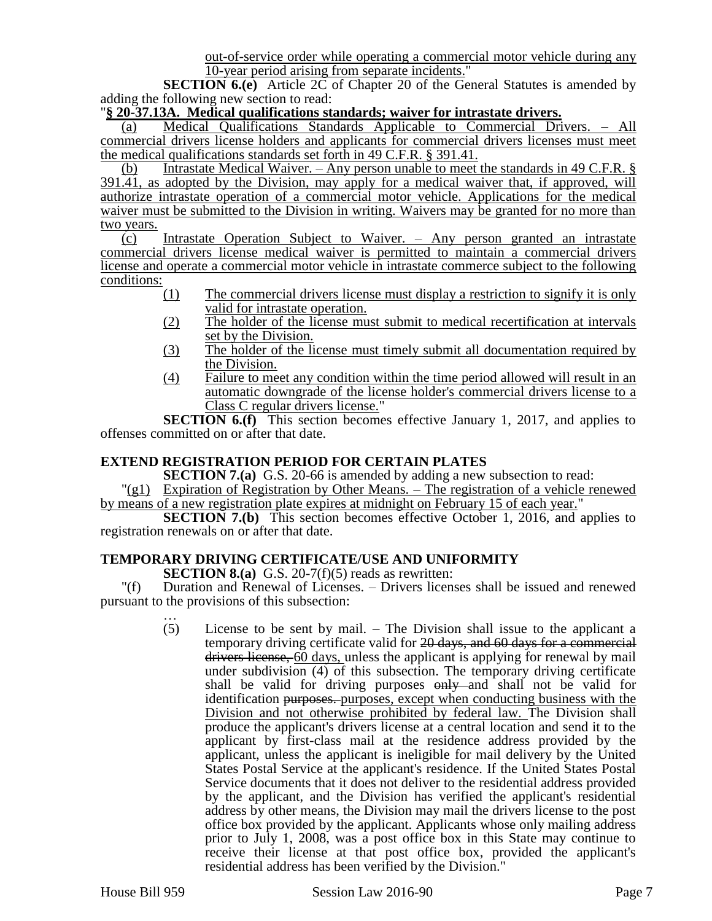out-of-service order while operating a commercial motor vehicle during any 10-year period arising from separate incidents."

**SECTION 6.(e)** Article 2C of Chapter 20 of the General Statutes is amended by adding the following new section to read:

#### "**§ 20-37.13A. Medical qualifications standards; waiver for intrastate drivers.**

(a) Medical Qualifications Standards Applicable to Commercial Drivers. – All commercial drivers license holders and applicants for commercial drivers licenses must meet the medical qualifications standards set forth in 49 C.F.R. § 391.41.

(b) Intrastate Medical Waiver. – Any person unable to meet the standards in 49 C.F.R. § 391.41, as adopted by the Division, may apply for a medical waiver that, if approved, will authorize intrastate operation of a commercial motor vehicle. Applications for the medical waiver must be submitted to the Division in writing. Waivers may be granted for no more than two years.

(c) Intrastate Operation Subject to Waiver. – Any person granted an intrastate commercial drivers license medical waiver is permitted to maintain a commercial drivers license and operate a commercial motor vehicle in intrastate commerce subject to the following conditions:

- (1) The commercial drivers license must display a restriction to signify it is only valid for intrastate operation.
- (2) The holder of the license must submit to medical recertification at intervals set by the Division.
- (3) The holder of the license must timely submit all documentation required by the Division.
- (4) Failure to meet any condition within the time period allowed will result in an automatic downgrade of the license holder's commercial drivers license to a Class C regular drivers license."

**SECTION 6.(f)** This section becomes effective January 1, 2017, and applies to offenses committed on or after that date.

## **EXTEND REGISTRATION PERIOD FOR CERTAIN PLATES**

**SECTION 7.(a)** G.S. 20-66 is amended by adding a new subsection to read:

"(g1) Expiration of Registration by Other Means. – The registration of a vehicle renewed by means of a new registration plate expires at midnight on February 15 of each year."

**SECTION 7.(b)** This section becomes effective October 1, 2016, and applies to registration renewals on or after that date.

## **TEMPORARY DRIVING CERTIFICATE/USE AND UNIFORMITY**

**SECTION 8.(a)** G.S. 20-7(f)(5) reads as rewritten:

"(f) Duration and Renewal of Licenses. – Drivers licenses shall be issued and renewed pursuant to the provisions of this subsection:

> $(5)$ License to be sent by mail.  $-$  The Division shall issue to the applicant a temporary driving certificate valid for 20 days, and 60 days for a commercial drivers license, 60 days, unless the applicant is applying for renewal by mail under subdivision (4) of this subsection. The temporary driving certificate shall be valid for driving purposes  $\theta$ - and shall not be valid for identification purposes. purposes, except when conducting business with the Division and not otherwise prohibited by federal law. The Division shall produce the applicant's drivers license at a central location and send it to the applicant by first-class mail at the residence address provided by the applicant, unless the applicant is ineligible for mail delivery by the United States Postal Service at the applicant's residence. If the United States Postal Service documents that it does not deliver to the residential address provided by the applicant, and the Division has verified the applicant's residential address by other means, the Division may mail the drivers license to the post office box provided by the applicant. Applicants whose only mailing address prior to July 1, 2008, was a post office box in this State may continue to receive their license at that post office box, provided the applicant's residential address has been verified by the Division."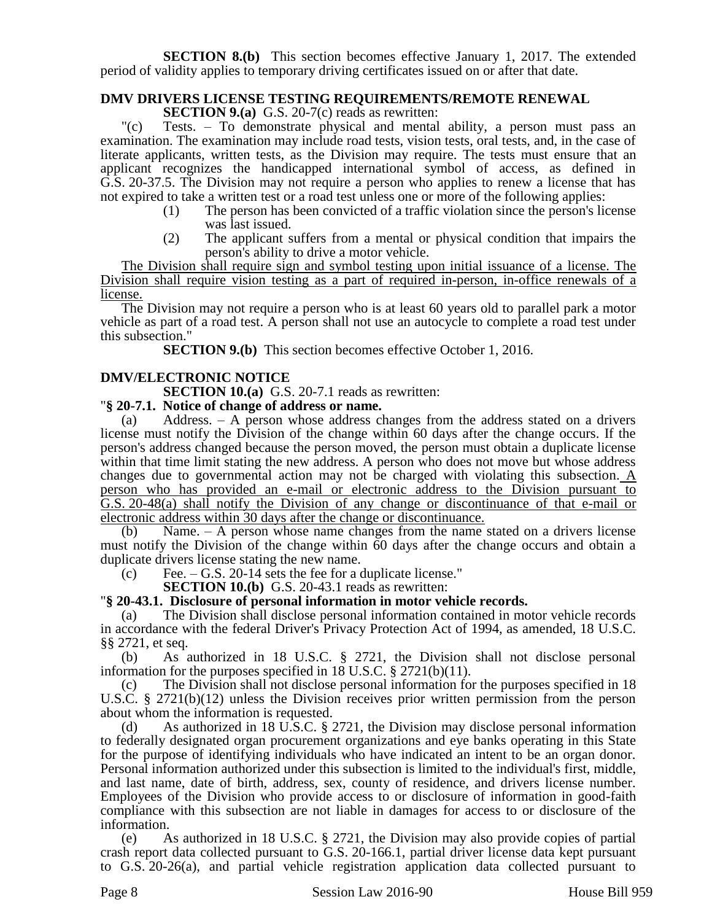**SECTION 8.(b)** This section becomes effective January 1, 2017. The extended period of validity applies to temporary driving certificates issued on or after that date.

## **DMV DRIVERS LICENSE TESTING REQUIREMENTS/REMOTE RENEWAL**

**SECTION 9.(a)** G.S. 20-7(c) reads as rewritten:

"(c) Tests. – To demonstrate physical and mental ability, a person must pass an examination. The examination may include road tests, vision tests, oral tests, and, in the case of literate applicants, written tests, as the Division may require. The tests must ensure that an applicant recognizes the handicapped international symbol of access, as defined in G.S. 20-37.5. The Division may not require a person who applies to renew a license that has not expired to take a written test or a road test unless one or more of the following applies:

- (1) The person has been convicted of a traffic violation since the person's license was last issued.
- (2) The applicant suffers from a mental or physical condition that impairs the person's ability to drive a motor vehicle.

The Division shall require sign and symbol testing upon initial issuance of a license. The Division shall require vision testing as a part of required in-person, in-office renewals of a license.

The Division may not require a person who is at least 60 years old to parallel park a motor vehicle as part of a road test. A person shall not use an autocycle to complete a road test under this subsection."

**SECTION 9.(b)** This section becomes effective October 1, 2016.

## **DMV/ELECTRONIC NOTICE**

**SECTION 10.(a)** G.S. 20-7.1 reads as rewritten:

#### "**§ 20-7.1. Notice of change of address or name.**

(a) Address. – A person whose address changes from the address stated on a drivers license must notify the Division of the change within 60 days after the change occurs. If the person's address changed because the person moved, the person must obtain a duplicate license within that time limit stating the new address. A person who does not move but whose address changes due to governmental action may not be charged with violating this subsection. A person who has provided an e-mail or electronic address to the Division pursuant to G.S. 20-48(a) shall notify the Division of any change or discontinuance of that e-mail or electronic address within 30 days after the change or discontinuance.

(b) Name. – A person whose name changes from the name stated on a drivers license must notify the Division of the change within 60 days after the change occurs and obtain a duplicate drivers license stating the new name.

 $\text{(c)} \qquad \text{Fee.} - \text{G.S.}$  20-14 sets the fee for a duplicate license."

**SECTION 10.(b)** G.S. 20-43.1 reads as rewritten:

#### "**§ 20-43.1. Disclosure of personal information in motor vehicle records.**

(a) The Division shall disclose personal information contained in motor vehicle records in accordance with the federal Driver's Privacy Protection Act of 1994, as amended, 18 U.S.C. §§ 2721, et seq.

(b) As authorized in 18 U.S.C. § 2721, the Division shall not disclose personal information for the purposes specified in 18 U.S.C. § 2721(b)(11).

(c) The Division shall not disclose personal information for the purposes specified in 18 U.S.C. § 2721(b)(12) unless the Division receives prior written permission from the person about whom the information is requested.

(d) As authorized in 18 U.S.C. § 2721, the Division may disclose personal information to federally designated organ procurement organizations and eye banks operating in this State for the purpose of identifying individuals who have indicated an intent to be an organ donor. Personal information authorized under this subsection is limited to the individual's first, middle, and last name, date of birth, address, sex, county of residence, and drivers license number. Employees of the Division who provide access to or disclosure of information in good-faith compliance with this subsection are not liable in damages for access to or disclosure of the information.

(e) As authorized in 18 U.S.C. § 2721, the Division may also provide copies of partial crash report data collected pursuant to G.S. 20-166.1, partial driver license data kept pursuant to G.S. 20-26(a), and partial vehicle registration application data collected pursuant to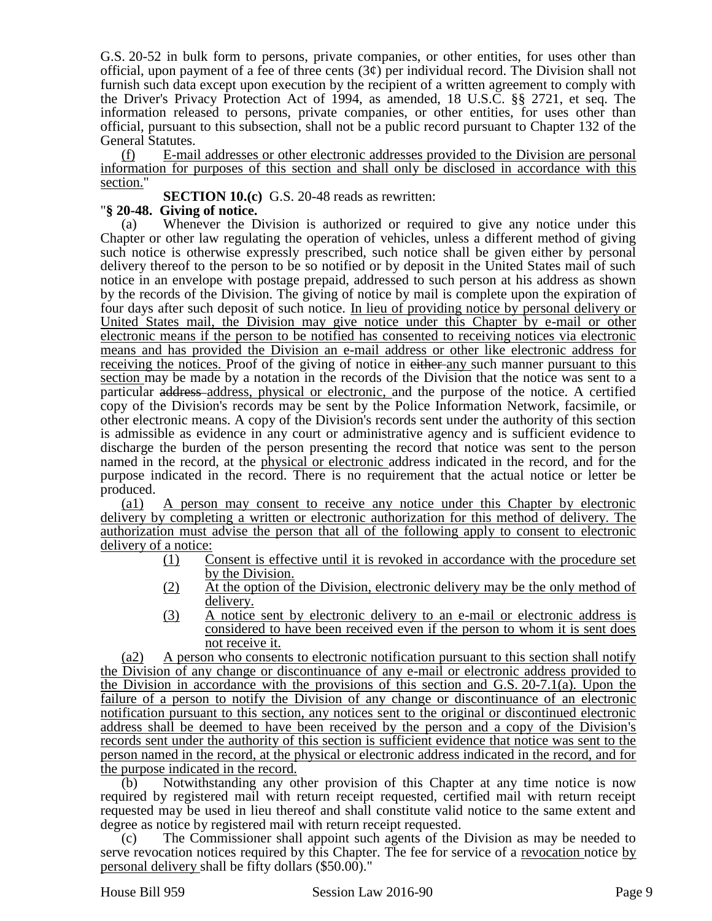G.S. 20-52 in bulk form to persons, private companies, or other entities, for uses other than official, upon payment of a fee of three cents  $(3¢)$  per individual record. The Division shall not furnish such data except upon execution by the recipient of a written agreement to comply with the Driver's Privacy Protection Act of 1994, as amended, 18 U.S.C. §§ 2721, et seq. The information released to persons, private companies, or other entities, for uses other than official, pursuant to this subsection, shall not be a public record pursuant to Chapter 132 of the General Statutes.

(f) E-mail addresses or other electronic addresses provided to the Division are personal information for purposes of this section and shall only be disclosed in accordance with this section."

**SECTION 10.(c)** G.S. 20-48 reads as rewritten:

# "**§ 20-48. Giving of notice.**

(a) Whenever the Division is authorized or required to give any notice under this Chapter or other law regulating the operation of vehicles, unless a different method of giving such notice is otherwise expressly prescribed, such notice shall be given either by personal delivery thereof to the person to be so notified or by deposit in the United States mail of such notice in an envelope with postage prepaid, addressed to such person at his address as shown by the records of the Division. The giving of notice by mail is complete upon the expiration of four days after such deposit of such notice. In lieu of providing notice by personal delivery or United States mail, the Division may give notice under this Chapter by e-mail or other electronic means if the person to be notified has consented to receiving notices via electronic means and has provided the Division an e-mail address or other like electronic address for receiving the notices. Proof of the giving of notice in either any such manner pursuant to this section may be made by a notation in the records of the Division that the notice was sent to a particular address address, physical or electronic, and the purpose of the notice. A certified copy of the Division's records may be sent by the Police Information Network, facsimile, or other electronic means. A copy of the Division's records sent under the authority of this section is admissible as evidence in any court or administrative agency and is sufficient evidence to discharge the burden of the person presenting the record that notice was sent to the person named in the record, at the physical or electronic address indicated in the record, and for the purpose indicated in the record. There is no requirement that the actual notice or letter be produced.

(a1) A person may consent to receive any notice under this Chapter by electronic delivery by completing a written or electronic authorization for this method of delivery. The authorization must advise the person that all of the following apply to consent to electronic delivery of a notice:

- (1) Consent is effective until it is revoked in accordance with the procedure set by the Division.
- (2) At the option of the Division, electronic delivery may be the only method of delivery.
- (3) A notice sent by electronic delivery to an e-mail or electronic address is considered to have been received even if the person to whom it is sent does not receive it.

(a2) A person who consents to electronic notification pursuant to this section shall notify the Division of any change or discontinuance of any e-mail or electronic address provided to the Division in accordance with the provisions of this section and G.S. 20-7.1(a). Upon the failure of a person to notify the Division of any change or discontinuance of an electronic notification pursuant to this section, any notices sent to the original or discontinued electronic address shall be deemed to have been received by the person and a copy of the Division's records sent under the authority of this section is sufficient evidence that notice was sent to the person named in the record, at the physical or electronic address indicated in the record, and for the purpose indicated in the record.

(b) Notwithstanding any other provision of this Chapter at any time notice is now required by registered mail with return receipt requested, certified mail with return receipt requested may be used in lieu thereof and shall constitute valid notice to the same extent and degree as notice by registered mail with return receipt requested.

(c) The Commissioner shall appoint such agents of the Division as may be needed to serve revocation notices required by this Chapter. The fee for service of a revocation notice by personal delivery shall be fifty dollars (\$50.00)."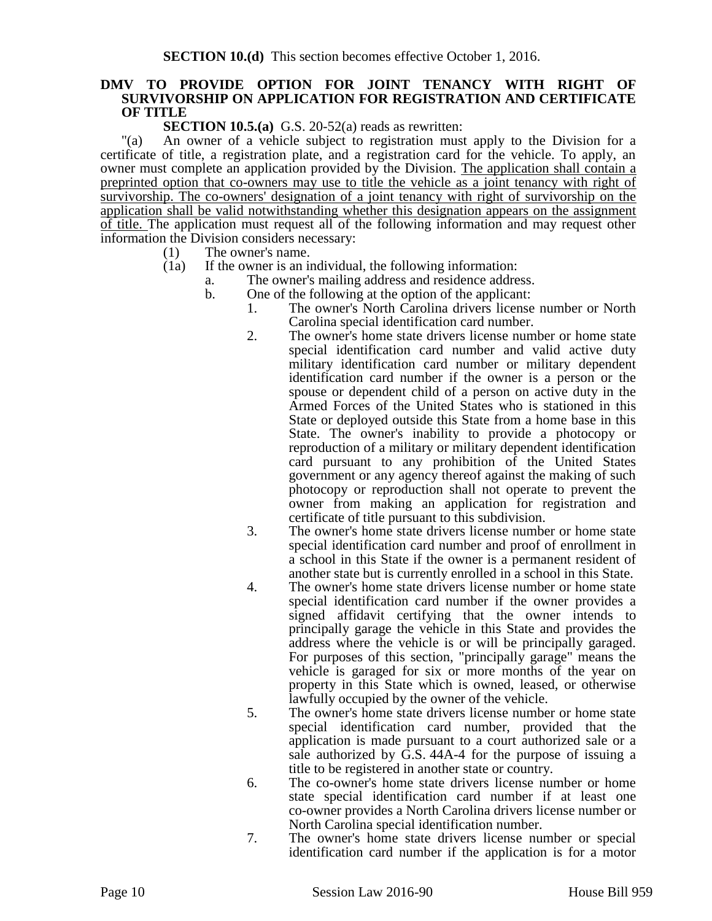#### **DMV TO PROVIDE OPTION FOR JOINT TENANCY WITH RIGHT OF SURVIVORSHIP ON APPLICATION FOR REGISTRATION AND CERTIFICATE OF TITLE**

**SECTION 10.5.(a)** G.S. 20-52(a) reads as rewritten:

"(a) An owner of a vehicle subject to registration must apply to the Division for a certificate of title, a registration plate, and a registration card for the vehicle. To apply, an owner must complete an application provided by the Division. The application shall contain a preprinted option that co-owners may use to title the vehicle as a joint tenancy with right of survivorship. The co-owners' designation of a joint tenancy with right of survivorship on the application shall be valid notwithstanding whether this designation appears on the assignment of title. The application must request all of the following information and may request other information the Division considers necessary:

- (1) The owner's name.
- (1a) If the owner is an individual, the following information:
	- a. The owner's mailing address and residence address.
		- b. One of the following at the option of the applicant:
			- 1. The owner's North Carolina drivers license number or North Carolina special identification card number.
			- 2. The owner's home state drivers license number or home state special identification card number and valid active duty military identification card number or military dependent identification card number if the owner is a person or the spouse or dependent child of a person on active duty in the Armed Forces of the United States who is stationed in this State or deployed outside this State from a home base in this State. The owner's inability to provide a photocopy or reproduction of a military or military dependent identification card pursuant to any prohibition of the United States government or any agency thereof against the making of such photocopy or reproduction shall not operate to prevent the owner from making an application for registration and certificate of title pursuant to this subdivision.
			- 3. The owner's home state drivers license number or home state special identification card number and proof of enrollment in a school in this State if the owner is a permanent resident of another state but is currently enrolled in a school in this State.
			- 4. The owner's home state drivers license number or home state special identification card number if the owner provides a signed affidavit certifying that the owner intends to principally garage the vehicle in this State and provides the address where the vehicle is or will be principally garaged. For purposes of this section, "principally garage" means the vehicle is garaged for six or more months of the year on property in this State which is owned, leased, or otherwise lawfully occupied by the owner of the vehicle.
			- 5. The owner's home state drivers license number or home state special identification card number, provided that the application is made pursuant to a court authorized sale or a sale authorized by G.S. 44A-4 for the purpose of issuing a title to be registered in another state or country.
			- 6. The co-owner's home state drivers license number or home state special identification card number if at least one co-owner provides a North Carolina drivers license number or North Carolina special identification number.
			- 7. The owner's home state drivers license number or special identification card number if the application is for a motor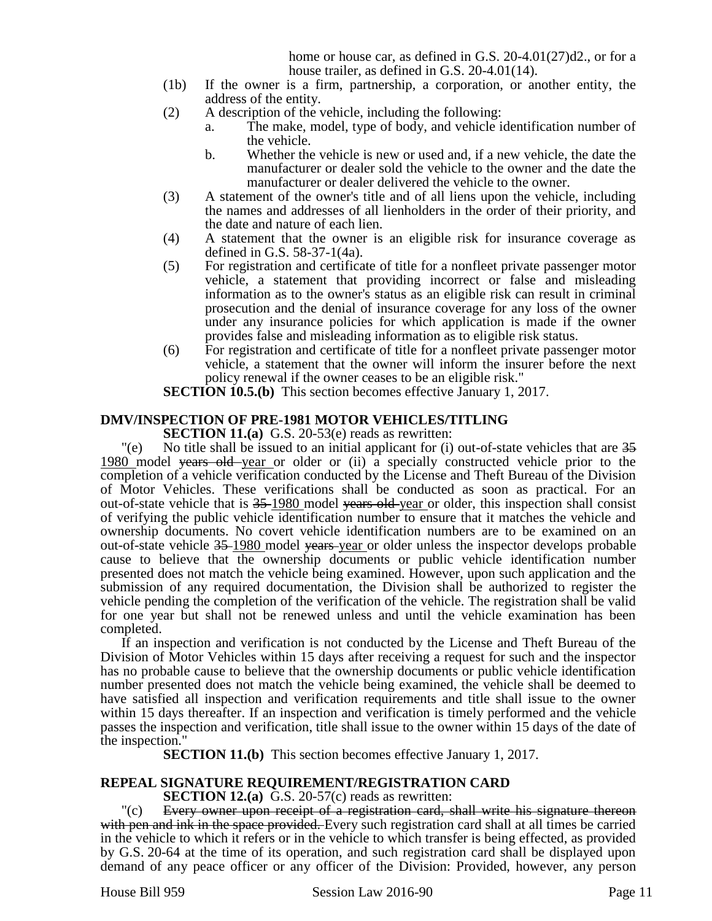home or house car, as defined in G.S. 20-4.01(27)d2., or for a house trailer, as defined in G.S. 20-4.01(14).

- (1b) If the owner is a firm, partnership, a corporation, or another entity, the address of the entity.
- (2) A description of the vehicle, including the following:
	- a. The make, model, type of body, and vehicle identification number of the vehicle.
	- b. Whether the vehicle is new or used and, if a new vehicle, the date the manufacturer or dealer sold the vehicle to the owner and the date the manufacturer or dealer delivered the vehicle to the owner.
- (3) A statement of the owner's title and of all liens upon the vehicle, including the names and addresses of all lienholders in the order of their priority, and the date and nature of each lien.
- (4) A statement that the owner is an eligible risk for insurance coverage as defined in G.S. 58-37-1(4a).
- (5) For registration and certificate of title for a nonfleet private passenger motor vehicle, a statement that providing incorrect or false and misleading information as to the owner's status as an eligible risk can result in criminal prosecution and the denial of insurance coverage for any loss of the owner under any insurance policies for which application is made if the owner provides false and misleading information as to eligible risk status.
- (6) For registration and certificate of title for a nonfleet private passenger motor vehicle, a statement that the owner will inform the insurer before the next policy renewal if the owner ceases to be an eligible risk."

**SECTION 10.5.(b)** This section becomes effective January 1, 2017.

## **DMV/INSPECTION OF PRE-1981 MOTOR VEHICLES/TITLING**

**SECTION 11.(a)** G.S. 20-53(e) reads as rewritten:

 $\degree$  No title shall be issued to an initial applicant for (i) out-of-state vehicles that are  $35$ 1980 model years old year or older or (ii) a specially constructed vehicle prior to the completion of a vehicle verification conducted by the License and Theft Bureau of the Division of Motor Vehicles. These verifications shall be conducted as soon as practical. For an out-of-state vehicle that is 35-1980 model years old-year or older, this inspection shall consist of verifying the public vehicle identification number to ensure that it matches the vehicle and ownership documents. No covert vehicle identification numbers are to be examined on an out-of-state vehicle 35 1980 model years year or older unless the inspector develops probable cause to believe that the ownership documents or public vehicle identification number presented does not match the vehicle being examined. However, upon such application and the submission of any required documentation, the Division shall be authorized to register the vehicle pending the completion of the verification of the vehicle. The registration shall be valid for one year but shall not be renewed unless and until the vehicle examination has been completed.

If an inspection and verification is not conducted by the License and Theft Bureau of the Division of Motor Vehicles within 15 days after receiving a request for such and the inspector has no probable cause to believe that the ownership documents or public vehicle identification number presented does not match the vehicle being examined, the vehicle shall be deemed to have satisfied all inspection and verification requirements and title shall issue to the owner within 15 days thereafter. If an inspection and verification is timely performed and the vehicle passes the inspection and verification, title shall issue to the owner within 15 days of the date of the inspection."

**SECTION 11.(b)** This section becomes effective January 1, 2017.

# **REPEAL SIGNATURE REQUIREMENT/REGISTRATION CARD**

**SECTION 12.(a)** G.S. 20-57(c) reads as rewritten:

"(c) Every owner upon receipt of a registration card, shall write his signature thereon with pen and ink in the space provided. Every such registration card shall at all times be carried in the vehicle to which it refers or in the vehicle to which transfer is being effected, as provided by G.S. 20-64 at the time of its operation, and such registration card shall be displayed upon demand of any peace officer or any officer of the Division: Provided, however, any person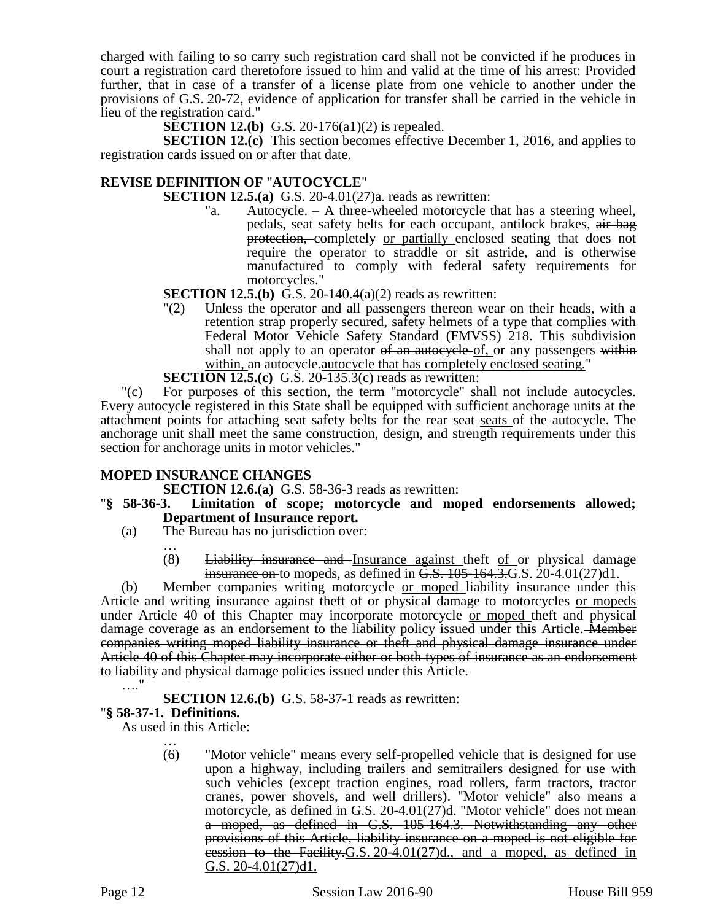charged with failing to so carry such registration card shall not be convicted if he produces in court a registration card theretofore issued to him and valid at the time of his arrest: Provided further, that in case of a transfer of a license plate from one vehicle to another under the provisions of G.S. 20-72, evidence of application for transfer shall be carried in the vehicle in lieu of the registration card."

**SECTION 12.(b)** G.S. 20-176(a1)(2) is repealed.

**SECTION 12.(c)** This section becomes effective December 1, 2016, and applies to registration cards issued on or after that date.

## **REVISE DEFINITION OF** "**AUTOCYCLE**"

**SECTION 12.5.(a)** G.S. 20-4.01(27)a. reads as rewritten:

"a. Autocycle. – A three-wheeled motorcycle that has a steering wheel, pedals, seat safety belts for each occupant, antilock brakes, air bag protection, completely or partially enclosed seating that does not require the operator to straddle or sit astride, and is otherwise manufactured to comply with federal safety requirements for motorcycles."

**SECTION 12.5.(b)** G.S. 20-140.4(a)(2) reads as rewritten:

"(2) Unless the operator and all passengers thereon wear on their heads, with a retention strap properly secured, safety helmets of a type that complies with Federal Motor Vehicle Safety Standard (FMVSS) 218. This subdivision shall not apply to an operator of an autocycle of, or any passengers within within, an autocycle-autocycle that has completely enclosed seating."

**SECTION 12.5.(c)** G.S. 20-135.3(c) reads as rewritten:

"(c) For purposes of this section, the term "motorcycle" shall not include autocycles. Every autocycle registered in this State shall be equipped with sufficient anchorage units at the attachment points for attaching seat safety belts for the rear seat seats of the autocycle. The anchorage unit shall meet the same construction, design, and strength requirements under this section for anchorage units in motor vehicles."

#### **MOPED INSURANCE CHANGES**

**SECTION 12.6.(a)** G.S. 58-36-3 reads as rewritten:

- "**§ 58-36-3. Limitation of scope; motorcycle and moped endorsements allowed; Department of Insurance report.**
	- (a) The Bureau has no jurisdiction over:
		- …  $(8)$  Liability insurance and Insurance against theft of or physical damage insurance on to mopeds, as defined in  $\overline{G.S.}$  105-164.3. G.S.  $20$ -4.01(27)d1.

(b) Member companies writing motorcycle or moped liability insurance under this Article and writing insurance against theft of or physical damage to motorcycles or mopeds under Article 40 of this Chapter may incorporate motorcycle or moped theft and physical damage coverage as an endorsement to the liability policy issued under this Article. Member companies writing moped liability insurance or theft and physical damage insurance under Article 40 of this Chapter may incorporate either or both types of insurance as an endorsement to liability and physical damage policies issued under this Article. …."

**SECTION 12.6.(b)** G.S. 58-37-1 reads as rewritten:

#### "**§ 58-37-1. Definitions.**

As used in this Article: …

(6) "Motor vehicle" means every self-propelled vehicle that is designed for use upon a highway, including trailers and semitrailers designed for use with such vehicles (except traction engines, road rollers, farm tractors, tractor cranes, power shovels, and well drillers). "Motor vehicle" also means a motorcycle, as defined in G.S. 20-4.01(27)d. "Motor vehicle" does not mean a moped, as defined in G.S. 105-164.3. Notwithstanding any other provisions of this Article, liability insurance on a moped is not eligible for cession to the Facility  $G.S. 20-4.01(27)d$ , and a moped, as defined in G.S. 20-4.01(27)d1.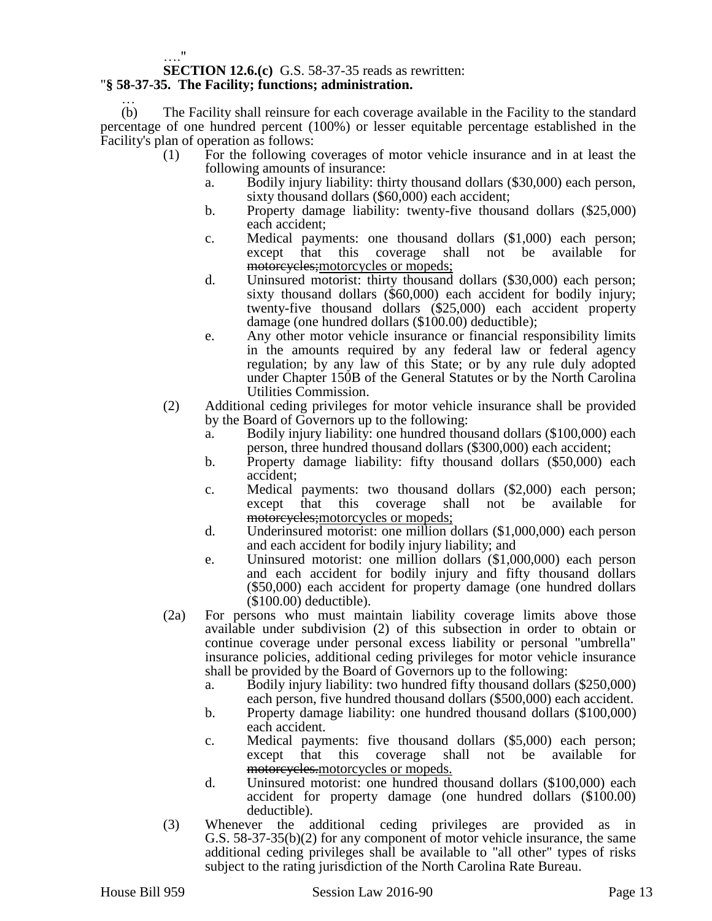#### …."

#### **SECTION 12.6.(c)** G.S. 58-37-35 reads as rewritten: "**§ 58-37-35. The Facility; functions; administration.**

#### … (b) The Facility shall reinsure for each coverage available in the Facility to the standard percentage of one hundred percent (100%) or lesser equitable percentage established in the Facility's plan of operation as follows:

- (1) For the following coverages of motor vehicle insurance and in at least the following amounts of insurance:
	- a. Bodily injury liability: thirty thousand dollars (\$30,000) each person, sixty thousand dollars (\$60,000) each accident;
	- b. Property damage liability: twenty-five thousand dollars (\$25,000) each accident;
	- c. Medical payments: one thousand dollars (\$1,000) each person; except that this coverage shall not be available for motorcycles;motorcycles or mopeds;
	- d. Uninsured motorist: thirty thousand dollars (\$30,000) each person; sixty thousand dollars (\$60,000) each accident for bodily injury; twenty-five thousand dollars (\$25,000) each accident property damage (one hundred dollars (\$100.00) deductible);
	- e. Any other motor vehicle insurance or financial responsibility limits in the amounts required by any federal law or federal agency regulation; by any law of this State; or by any rule duly adopted under Chapter 150B of the General Statutes or by the North Carolina Utilities Commission.
- (2) Additional ceding privileges for motor vehicle insurance shall be provided by the Board of Governors up to the following:
	- a. Bodily injury liability: one hundred thousand dollars (\$100,000) each person, three hundred thousand dollars (\$300,000) each accident;
	- b. Property damage liability: fifty thousand dollars (\$50,000) each accident;
	- c. Medical payments: two thousand dollars (\$2,000) each person; except that this coverage shall not be available for motorcycles;motorcycles or mopeds;
	- d. Underinsured motorist: one million dollars (\$1,000,000) each person and each accident for bodily injury liability; and
	- e. Uninsured motorist: one million dollars (\$1,000,000) each person and each accident for bodily injury and fifty thousand dollars (\$50,000) each accident for property damage (one hundred dollars (\$100.00) deductible).
- (2a) For persons who must maintain liability coverage limits above those available under subdivision (2) of this subsection in order to obtain or continue coverage under personal excess liability or personal "umbrella" insurance policies, additional ceding privileges for motor vehicle insurance shall be provided by the Board of Governors up to the following:
	- a. Bodily injury liability: two hundred fifty thousand dollars (\$250,000) each person, five hundred thousand dollars (\$500,000) each accident.
	- b. Property damage liability: one hundred thousand dollars (\$100,000) each accident.
	- c. Medical payments: five thousand dollars (\$5,000) each person; except that this coverage shall not be available for motorcycles.motorcycles or mopeds.
	- d. Uninsured motorist: one hundred thousand dollars (\$100,000) each accident for property damage (one hundred dollars (\$100.00) deductible).
- (3) Whenever the additional ceding privileges are provided as in G.S. 58-37-35(b)(2) for any component of motor vehicle insurance, the same additional ceding privileges shall be available to "all other" types of risks subject to the rating jurisdiction of the North Carolina Rate Bureau.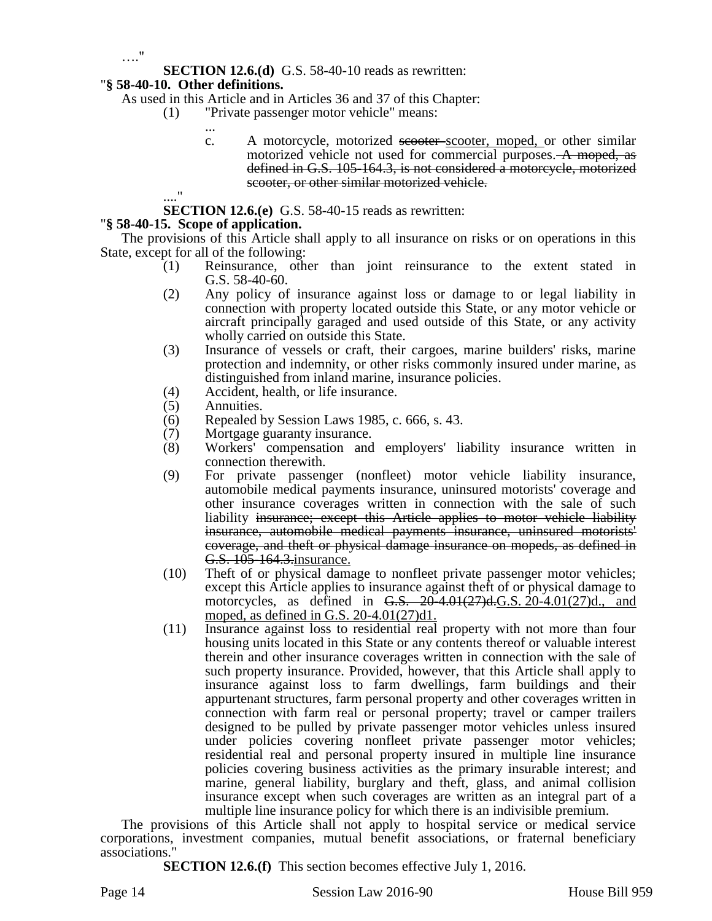…."

**SECTION 12.6.(d)** G.S. 58-40-10 reads as rewritten:

## "**§ 58-40-10. Other definitions.**

As used in this Article and in Articles 36 and 37 of this Chapter:

- (1) "Private passenger motor vehicle" means:
	- ... c. A motorcycle, motorized secoter-scooter, moped, or other similar motorized vehicle not used for commercial purposes. A moped, as defined in G.S. 105-164.3, is not considered a motorcycle, motorized scooter, or other similar motorized vehicle.

...." **SECTION 12.6.(e)** G.S. 58-40-15 reads as rewritten:

## "**§ 58-40-15. Scope of application.**

The provisions of this Article shall apply to all insurance on risks or on operations in this State, except for all of the following:

- (1) Reinsurance, other than joint reinsurance to the extent stated in G.S. 58-40-60.
- (2) Any policy of insurance against loss or damage to or legal liability in connection with property located outside this State, or any motor vehicle or aircraft principally garaged and used outside of this State, or any activity wholly carried on outside this State.
- (3) Insurance of vessels or craft, their cargoes, marine builders' risks, marine protection and indemnity, or other risks commonly insured under marine, as distinguished from inland marine, insurance policies.
- (4) Accident, health, or life insurance.
- (5) Annuities.
- (6) Repealed by Session Laws 1985, c. 666, s. 43.
- (7) Mortgage guaranty insurance.<br>(8) Workers' compensation and
- (8) Workers' compensation and employers' liability insurance written in connection therewith.
- (9) For private passenger (nonfleet) motor vehicle liability insurance, automobile medical payments insurance, uninsured motorists' coverage and other insurance coverages written in connection with the sale of such liability insurance; except this Article applies to motor vehicle liability insurance, automobile medical payments insurance, uninsured motorists' coverage, and theft or physical damage insurance on mopeds, as defined in G.S. 105-164.3. insurance.
- (10) Theft of or physical damage to nonfleet private passenger motor vehicles; except this Article applies to insurance against theft of or physical damage to motorcycles, as defined in G.S.  $20-4.01(27)$ d.G.S.  $20-4.01(27)$ d., and moped, as defined in G.S. 20-4.01(27)d1.
- (11) Insurance against loss to residential real property with not more than four housing units located in this State or any contents thereof or valuable interest therein and other insurance coverages written in connection with the sale of such property insurance. Provided, however, that this Article shall apply to insurance against loss to farm dwellings, farm buildings and their appurtenant structures, farm personal property and other coverages written in connection with farm real or personal property; travel or camper trailers designed to be pulled by private passenger motor vehicles unless insured under policies covering nonfleet private passenger motor vehicles; residential real and personal property insured in multiple line insurance policies covering business activities as the primary insurable interest; and marine, general liability, burglary and theft, glass, and animal collision insurance except when such coverages are written as an integral part of a multiple line insurance policy for which there is an indivisible premium.

The provisions of this Article shall not apply to hospital service or medical service corporations, investment companies, mutual benefit associations, or fraternal beneficiary associations."

**SECTION 12.6.(f)** This section becomes effective July 1, 2016.

Page 14 Session Law 2016-90 House Bill 959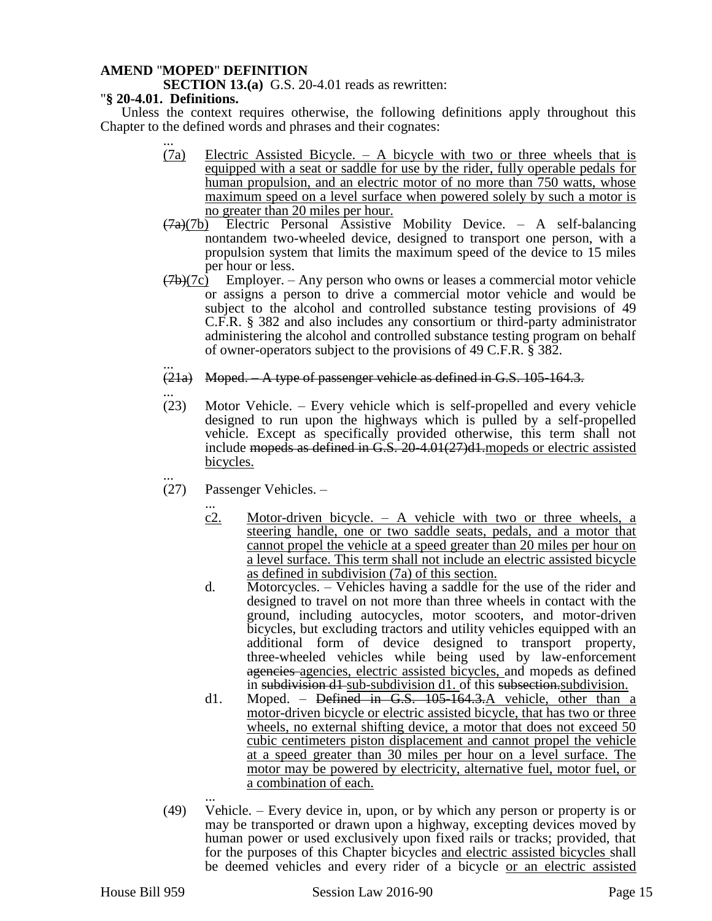## **AMEND** "**MOPED**" **DEFINITION**

**SECTION 13.(a)** G.S. 20-4.01 reads as rewritten:

#### "**§ 20-4.01. Definitions.**

Unless the context requires otherwise, the following definitions apply throughout this Chapter to the defined words and phrases and their cognates:

- ... (7a) Electric Assisted Bicycle. – A bicycle with two or three wheels that is equipped with a seat or saddle for use by the rider, fully operable pedals for human propulsion, and an electric motor of no more than 750 watts, whose maximum speed on a level surface when powered solely by such a motor is no greater than 20 miles per hour.
- $(7a)(7b)$  Electric Personal Assistive Mobility Device. A self-balancing nontandem two-wheeled device, designed to transport one person, with a propulsion system that limits the maximum speed of the device to 15 miles per hour or less.
- $(7b)(7c)$  Employer. Any person who owns or leases a commercial motor vehicle or assigns a person to drive a commercial motor vehicle and would be subject to the alcohol and controlled substance testing provisions of 49 C.F.R. § 382 and also includes any consortium or third-party administrator administering the alcohol and controlled substance testing program on behalf of owner-operators subject to the provisions of 49 C.F.R. § 382.
- ... (21a) Moped. – A type of passenger vehicle as defined in G.S. 105-164.3.
- ... (23) Motor Vehicle. – Every vehicle which is self-propelled and every vehicle designed to run upon the highways which is pulled by a self-propelled vehicle. Except as specifically provided otherwise, this term shall not include mopeds as defined in  $\overline{G.S.}$  20-4.01(27)d1.mopeds or electric assisted bicycles.
- ... (27) Passenger Vehicles. –
	- ... c2. Motor-driven bicycle. – A vehicle with two or three wheels, a steering handle, one or two saddle seats, pedals, and a motor that cannot propel the vehicle at a speed greater than 20 miles per hour on a level surface. This term shall not include an electric assisted bicycle as defined in subdivision (7a) of this section.
	- d. Motorcycles. Vehicles having a saddle for the use of the rider and designed to travel on not more than three wheels in contact with the ground, including autocycles, motor scooters, and motor-driven bicycles, but excluding tractors and utility vehicles equipped with an additional form of device designed to transport property, three-wheeled vehicles while being used by law-enforcement agencies agencies, electric assisted bicycles, and mopeds as defined in subdivision d<sub>1</sub> sub-subdivision d<sub>1</sub>. of this subsection subdivision.
	- d1. Moped. Defined in G.S. 105-164.3.A vehicle, other than a motor-driven bicycle or electric assisted bicycle, that has two or three wheels, no external shifting device, a motor that does not exceed 50 cubic centimeters piston displacement and cannot propel the vehicle at a speed greater than 30 miles per hour on a level surface. The motor may be powered by electricity, alternative fuel, motor fuel, or a combination of each.
- ... (49) Vehicle. – Every device in, upon, or by which any person or property is or may be transported or drawn upon a highway, excepting devices moved by human power or used exclusively upon fixed rails or tracks; provided, that for the purposes of this Chapter bicycles and electric assisted bicycles shall be deemed vehicles and every rider of a bicycle <u>or an electric assisted</u>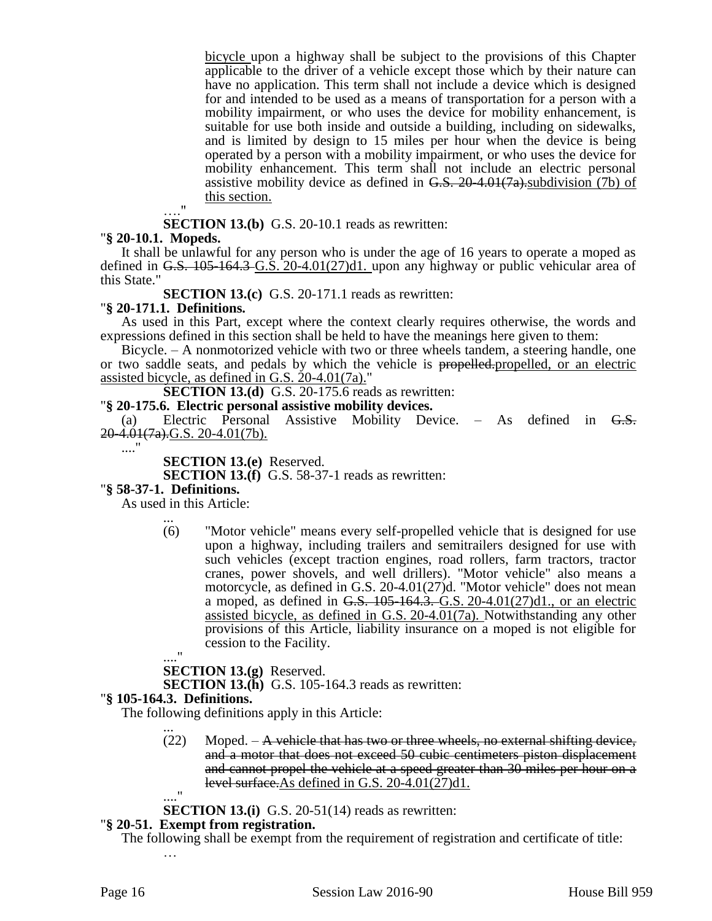bicycle upon a highway shall be subject to the provisions of this Chapter applicable to the driver of a vehicle except those which by their nature can have no application. This term shall not include a device which is designed for and intended to be used as a means of transportation for a person with a mobility impairment, or who uses the device for mobility enhancement, is suitable for use both inside and outside a building, including on sidewalks, and is limited by design to 15 miles per hour when the device is being operated by a person with a mobility impairment, or who uses the device for mobility enhancement. This term shall not include an electric personal assistive mobility device as defined in  $G.S. 20-4.01(7a)$  subdivision (7b) of this section.

 $\mathbb{R}^{\frac{1}{2}}$ 

**SECTION 13.(b)** G.S. 20-10.1 reads as rewritten:

#### "**§ 20-10.1. Mopeds.**

It shall be unlawful for any person who is under the age of 16 years to operate a moped as defined in G.S.  $105-164.3$  G.S. 20-4.01(27)d1. upon any highway or public vehicular area of this State."

**SECTION 13.(c)** G.S. 20-171.1 reads as rewritten:

#### "**§ 20-171.1. Definitions.**

As used in this Part, except where the context clearly requires otherwise, the words and expressions defined in this section shall be held to have the meanings here given to them:

Bicycle. – A nonmotorized vehicle with two or three wheels tandem, a steering handle, one or two saddle seats, and pedals by which the vehicle is propelled.propelled, or an electric assisted bicycle, as defined in G.S. 20-4.01(7a)."

**SECTION 13.(d)** G.S. 20-175.6 reads as rewritten:

#### "**§ 20-175.6. Electric personal assistive mobility devices.**

(a) Electric Personal Assistive Mobility Device.  $-$  As defined in  $G.S.$  $20-4.01(7a)$ .G.S. 20-4.01(7b).

...."

**SECTION 13.(e)** Reserved.

**SECTION 13.(f)** G.S. 58-37-1 reads as rewritten:

#### "**§ 58-37-1. Definitions.**

As used in this Article:

... (6) "Motor vehicle" means every self-propelled vehicle that is designed for use upon a highway, including trailers and semitrailers designed for use with such vehicles (except traction engines, road rollers, farm tractors, tractor cranes, power shovels, and well drillers). "Motor vehicle" also means a motorcycle, as defined in G.S. 20-4.01(27)d. "Motor vehicle" does not mean a moped, as defined in G.S.  $105-164.3$ . G.S.  $20-4.01(27)$ d1., or an electric assisted bicycle, as defined in G.S. 20-4.01(7a). Notwithstanding any other provisions of this Article, liability insurance on a moped is not eligible for cession to the Facility.

# ...."

**SECTION 13.(g)** Reserved.

**SECTION 13.(h)** G.S. 105-164.3 reads as rewritten:

#### "**§ 105-164.3. Definitions.**

The following definitions apply in this Article: ...

> $(22)$  Moped. – A vehicle that has two or three wheels, no external shifting device, and a motor that does not exceed 50 cubic centimeters piston displacement and cannot propel the vehicle at a speed greater than 30 miles per hour on a level surface.As defined in G.S. 20-4.01(27)d1. ...."

**SECTION 13.(i)** G.S. 20-51(14) reads as rewritten:

#### "**§ 20-51. Exempt from registration.**

The following shall be exempt from the requirement of registration and certificate of title: …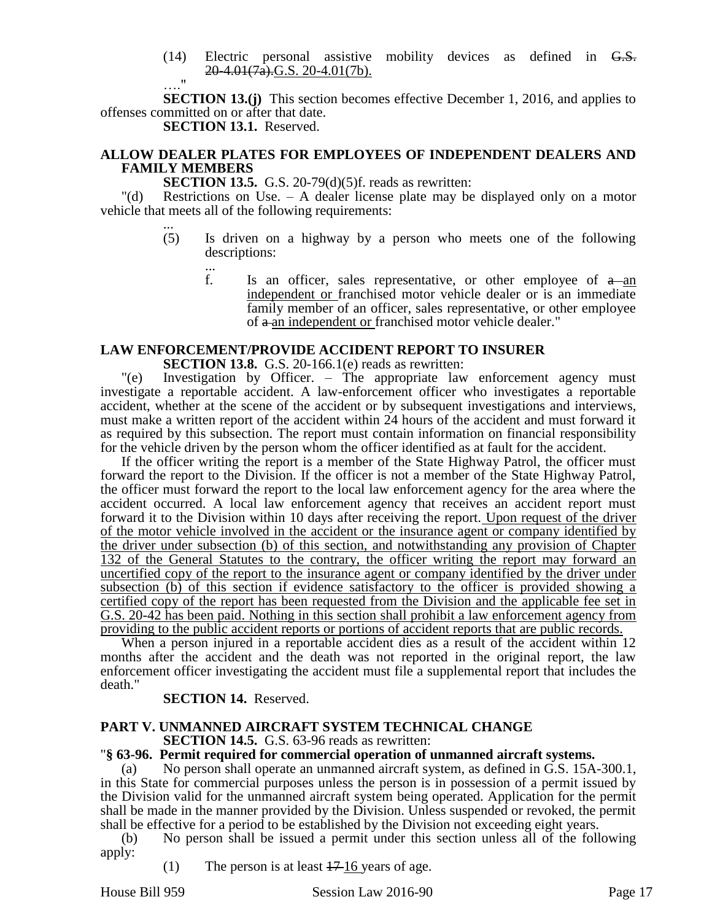- (14) Electric personal assistive mobility devices as defined in G.S.  $20-4.01(7a)$ .G.S. 20-4.01(7b).
- $\blacksquare$

**SECTION 13.(j)** This section becomes effective December 1, 2016, and applies to offenses committed on or after that date.

**SECTION 13.1.** Reserved.

## **ALLOW DEALER PLATES FOR EMPLOYEES OF INDEPENDENT DEALERS AND FAMILY MEMBERS**

**SECTION 13.5.** G.S. 20-79(d)(5)f. reads as rewritten:

"(d) Restrictions on Use. – A dealer license plate may be displayed only on a motor vehicle that meets all of the following requirements:

- ... (5) Is driven on a highway by a person who meets one of the following descriptions:
	- ... f. Is an officer, sales representative, or other employee of  $a$ -an independent or franchised motor vehicle dealer or is an immediate family member of an officer, sales representative, or other employee of  $\theta$  an independent or franchised motor vehicle dealer."

## **LAW ENFORCEMENT/PROVIDE ACCIDENT REPORT TO INSURER**

**SECTION 13.8.** G.S. 20-166.1(e) reads as rewritten:

"(e) Investigation by Officer. – The appropriate law enforcement agency must investigate a reportable accident. A law-enforcement officer who investigates a reportable accident, whether at the scene of the accident or by subsequent investigations and interviews, must make a written report of the accident within 24 hours of the accident and must forward it as required by this subsection. The report must contain information on financial responsibility for the vehicle driven by the person whom the officer identified as at fault for the accident.

If the officer writing the report is a member of the State Highway Patrol, the officer must forward the report to the Division. If the officer is not a member of the State Highway Patrol, the officer must forward the report to the local law enforcement agency for the area where the accident occurred. A local law enforcement agency that receives an accident report must forward it to the Division within 10 days after receiving the report. Upon request of the driver of the motor vehicle involved in the accident or the insurance agent or company identified by the driver under subsection (b) of this section, and notwithstanding any provision of Chapter 132 of the General Statutes to the contrary, the officer writing the report may forward an uncertified copy of the report to the insurance agent or company identified by the driver under subsection (b) of this section if evidence satisfactory to the officer is provided showing a certified copy of the report has been requested from the Division and the applicable fee set in G.S. 20-42 has been paid. Nothing in this section shall prohibit a law enforcement agency from providing to the public accident reports or portions of accident reports that are public records.

When a person injured in a reportable accident dies as a result of the accident within 12 months after the accident and the death was not reported in the original report, the law enforcement officer investigating the accident must file a supplemental report that includes the death."

## **SECTION 14.** Reserved.

#### **PART V. UNMANNED AIRCRAFT SYSTEM TECHNICAL CHANGE SECTION 14.5.** G.S. 63-96 reads as rewritten:

#### "**§ 63-96. Permit required for commercial operation of unmanned aircraft systems.**

No person shall operate an unmanned aircraft system, as defined in G.S. 15A-300.1, in this State for commercial purposes unless the person is in possession of a permit issued by the Division valid for the unmanned aircraft system being operated. Application for the permit shall be made in the manner provided by the Division. Unless suspended or revoked, the permit shall be effective for a period to be established by the Division not exceeding eight years.

(b) No person shall be issued a permit under this section unless all of the following apply:

(1) The person is at least  $17-16$  years of age.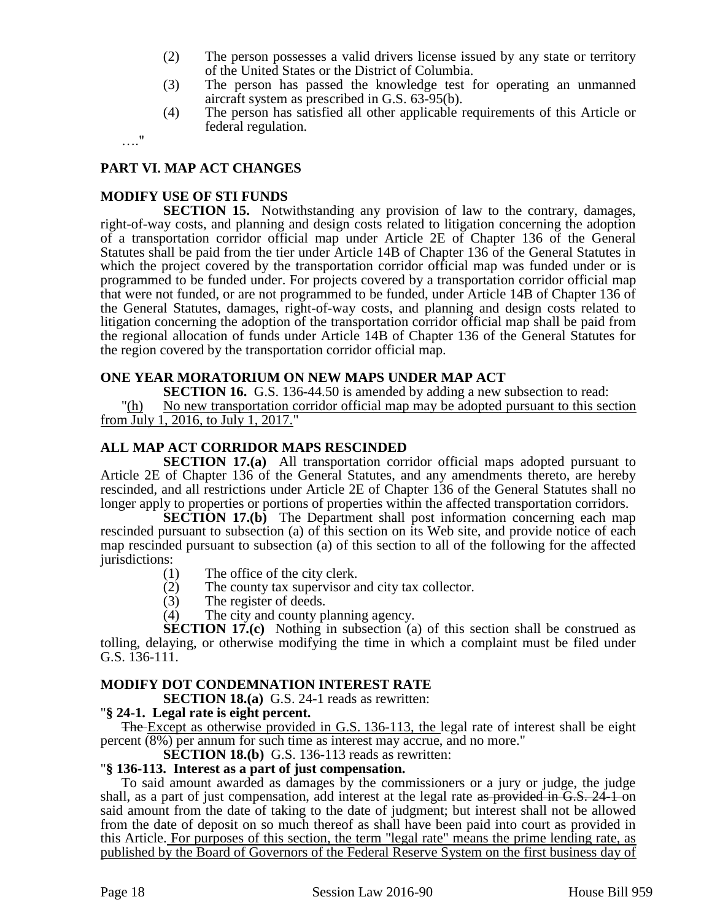- (2) The person possesses a valid drivers license issued by any state or territory of the United States or the District of Columbia.
- (3) The person has passed the knowledge test for operating an unmanned aircraft system as prescribed in G.S. 63-95(b).
- (4) The person has satisfied all other applicable requirements of this Article or federal regulation.

…."

# **PART VI. MAP ACT CHANGES**

# **MODIFY USE OF STI FUNDS**

**SECTION 15.** Notwithstanding any provision of law to the contrary, damages, right-of-way costs, and planning and design costs related to litigation concerning the adoption of a transportation corridor official map under Article 2E of Chapter 136 of the General Statutes shall be paid from the tier under Article 14B of Chapter 136 of the General Statutes in which the project covered by the transportation corridor official map was funded under or is programmed to be funded under. For projects covered by a transportation corridor official map that were not funded, or are not programmed to be funded, under Article 14B of Chapter 136 of the General Statutes, damages, right-of-way costs, and planning and design costs related to litigation concerning the adoption of the transportation corridor official map shall be paid from the regional allocation of funds under Article 14B of Chapter 136 of the General Statutes for the region covered by the transportation corridor official map.

# **ONE YEAR MORATORIUM ON NEW MAPS UNDER MAP ACT**

**SECTION 16.** G.S. 136-44.50 is amended by adding a new subsection to read:

"(h) No new transportation corridor official map may be adopted pursuant to this section from July 1, 2016, to July 1, 2017."

# **ALL MAP ACT CORRIDOR MAPS RESCINDED**

**SECTION 17.(a)** All transportation corridor official maps adopted pursuant to Article 2E of Chapter 136 of the General Statutes, and any amendments thereto, are hereby rescinded, and all restrictions under Article 2E of Chapter 136 of the General Statutes shall no longer apply to properties or portions of properties within the affected transportation corridors.

**SECTION 17.(b)** The Department shall post information concerning each map rescinded pursuant to subsection (a) of this section on its Web site, and provide notice of each map rescinded pursuant to subsection (a) of this section to all of the following for the affected jurisdictions:

- (1) The office of the city clerk.
- (2) The county tax supervisor and city tax collector.<br>
(3) The register of deeds.
- The register of deeds.
- (4) The city and county planning agency.

**SECTION 17.(c)** Nothing in subsection (a) of this section shall be construed as tolling, delaying, or otherwise modifying the time in which a complaint must be filed under G.S. 136-111.

## **MODIFY DOT CONDEMNATION INTEREST RATE**

**SECTION 18.(a)** G.S. 24-1 reads as rewritten:

## "**§ 24-1. Legal rate is eight percent.**

The Except as otherwise provided in G.S. 136-113, the legal rate of interest shall be eight percent (8%) per annum for such time as interest may accrue, and no more."

**SECTION 18.(b)** G.S. 136-113 reads as rewritten:

#### "**§ 136-113. Interest as a part of just compensation.**

To said amount awarded as damages by the commissioners or a jury or judge, the judge shall, as a part of just compensation, add interest at the legal rate as provided in G.S. 24 1 on said amount from the date of taking to the date of judgment; but interest shall not be allowed from the date of deposit on so much thereof as shall have been paid into court as provided in this Article. For purposes of this section, the term "legal rate" means the prime lending rate, as published by the Board of Governors of the Federal Reserve System on the first business day of